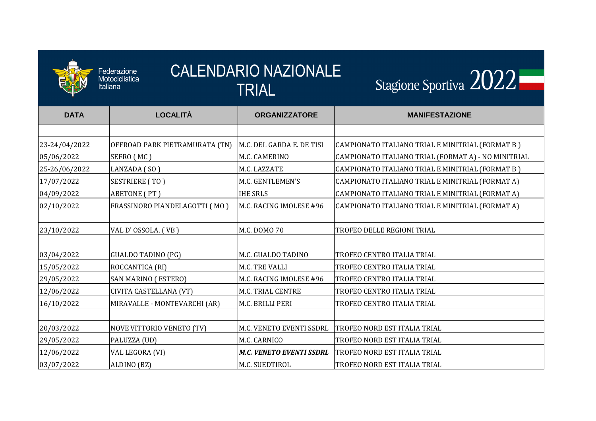

| <b>CALENDARIO NAZIONALE</b><br>Federazione<br>Stagione Sportiva 2022<br>Motociclistica<br>Italiana |                                |                                 |                                                     |  |  |
|----------------------------------------------------------------------------------------------------|--------------------------------|---------------------------------|-----------------------------------------------------|--|--|
|                                                                                                    |                                | TRIAL                           |                                                     |  |  |
| <b>DATA</b>                                                                                        | <b>LOCALITÀ</b>                | <b>ORGANIZZATORE</b>            | <b>MANIFESTAZIONE</b>                               |  |  |
|                                                                                                    |                                |                                 |                                                     |  |  |
| 23-24/04/2022                                                                                      | OFFROAD PARK PIETRAMURATA (TN) | M.C. DEL GARDA E. DE TISI       | CAMPIONATO ITALIANO TRIAL E MINITRIAL (FORMAT B )   |  |  |
| 05/06/2022                                                                                         | SEFRO (MC)                     | M.C. CAMERINO                   | CAMPIONATO ITALIANO TRIAL (FORMAT A) - NO MINITRIAL |  |  |
| 25-26/06/2022                                                                                      | LANZADA (SO)                   | M.C. LAZZATE                    | CAMPIONATO ITALIANO TRIAL E MINITRIAL (FORMAT B )   |  |  |
| 17/07/2022                                                                                         | <b>SESTRIERE (TO)</b>          | M.C. GENTLEMEN'S                | CAMPIONATO ITALIANO TRIAL E MINITRIAL (FORMAT A)    |  |  |
| 04/09/2022                                                                                         | <b>ABETONE</b> (PT)            | <b>IHE SRLS</b>                 | CAMPIONATO ITALIANO TRIAL E MINITRIAL (FORMAT A)    |  |  |
| 02/10/2022                                                                                         | FRASSINORO PIANDELAGOTTI (MO)  | M.C. RACING IMOLESE #96         | CAMPIONATO ITALIANO TRIAL E MINITRIAL (FORMAT A)    |  |  |
|                                                                                                    |                                |                                 |                                                     |  |  |
| 23/10/2022                                                                                         | VAL D'OSSOLA. (VB)             | M.C. DOMO 70                    | TROFEO DELLE REGIONI TRIAL                          |  |  |
|                                                                                                    |                                |                                 |                                                     |  |  |
| 03/04/2022                                                                                         | <b>GUALDO TADINO (PG)</b>      | M.C. GUALDO TADINO              | TROFEO CENTRO ITALIA TRIAL                          |  |  |
| 15/05/2022                                                                                         | ROCCANTICA (RI)                | M.C. TRE VALLI                  | TROFEO CENTRO ITALIA TRIAL                          |  |  |
| 29/05/2022                                                                                         | <b>SAN MARINO (ESTERO)</b>     | M.C. RACING IMOLESE #96         | TROFEO CENTRO ITALIA TRIAL                          |  |  |
| 12/06/2022                                                                                         | CIVITA CASTELLANA (VT)         | M.C. TRIAL CENTRE               | TROFEO CENTRO ITALIA TRIAL                          |  |  |
| 16/10/2022                                                                                         | MIRAVALLE - MONTEVARCHI (AR)   | M.C. BRILLI PERI                | TROFEO CENTRO ITALIA TRIAL                          |  |  |
|                                                                                                    |                                |                                 |                                                     |  |  |
| 20/03/2022                                                                                         | NOVE VITTORIO VENETO (TV)      | M.C. VENETO EVENTI SSDRL        | <b>TROFEO NORD EST ITALIA TRIAL</b>                 |  |  |
| 29/05/2022                                                                                         | PALUZZA (UD)                   | M.C. CARNICO                    | TROFEO NORD EST ITALIA TRIAL                        |  |  |
| 12/06/2022                                                                                         | VAL LEGORA (VI)                | <b>M.C. VENETO EVENTI SSDRL</b> | TROFEO NORD EST ITALIA TRIAL                        |  |  |
| 03/07/2022                                                                                         | ALDINO (BZ)                    | M.C. SUEDTIROL                  | TROFEO NORD EST ITALIA TRIAL                        |  |  |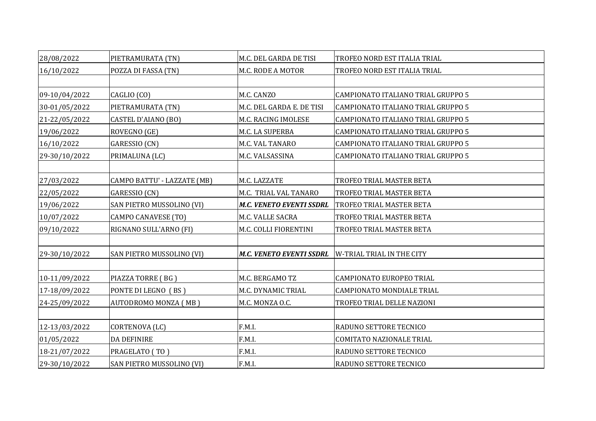| 28/08/2022    | PIETRAMURATA (TN)           | M.C. DEL GARDA DE TISI          | TROFEO NORD EST ITALIA TRIAL       |
|---------------|-----------------------------|---------------------------------|------------------------------------|
| 16/10/2022    | POZZA DI FASSA (TN)         | <b>M.C. RODE A MOTOR</b>        | TROFEO NORD EST ITALIA TRIAL       |
|               |                             |                                 |                                    |
| 09-10/04/2022 | CAGLIO (CO)                 | M.C. CANZO                      | CAMPIONATO ITALIANO TRIAL GRUPPO 5 |
| 30-01/05/2022 | PIETRAMURATA (TN)           | M.C. DEL GARDA E. DE TISI       | CAMPIONATO ITALIANO TRIAL GRUPPO 5 |
| 21-22/05/2022 | CASTEL D'AIANO (BO)         | M.C. RACING IMOLESE             | CAMPIONATO ITALIANO TRIAL GRUPPO 5 |
| 19/06/2022    | ROVEGNO (GE)                | M.C. LA SUPERBA                 | CAMPIONATO ITALIANO TRIAL GRUPPO 5 |
| 16/10/2022    | GARESSIO (CN)               | <b>M.C. VAL TANARO</b>          | CAMPIONATO ITALIANO TRIAL GRUPPO 5 |
| 29-30/10/2022 | PRIMALUNA (LC)              | M.C. VALSASSINA                 | CAMPIONATO ITALIANO TRIAL GRUPPO 5 |
|               |                             |                                 |                                    |
| 27/03/2022    | CAMPO BATTU' - LAZZATE (MB) | M.C. LAZZATE                    | TROFEO TRIAL MASTER BETA           |
| 22/05/2022    | GARESSIO (CN)               | M.C. TRIAL VAL TANARO           | TROFEO TRIAL MASTER BETA           |
| 19/06/2022    | SAN PIETRO MUSSOLINO (VI)   | <b>M.C. VENETO EVENTI SSDRL</b> | TROFEO TRIAL MASTER BETA           |
| 10/07/2022    | <b>CAMPO CANAVESE (TO)</b>  | M.C. VALLE SACRA                | TROFEO TRIAL MASTER BETA           |
| 09/10/2022    | RIGNANO SULL'ARNO (FI)      | M.C. COLLI FIORENTINI           | TROFEO TRIAL MASTER BETA           |
|               |                             |                                 |                                    |
| 29-30/10/2022 | SAN PIETRO MUSSOLINO (VI)   | <b>M.C. VENETO EVENTI SSDRL</b> | W-TRIAL TRIAL IN THE CITY          |
|               |                             |                                 |                                    |
| 10-11/09/2022 | PIAZZA TORRE (BG)           | M.C. BERGAMO TZ                 | <b>CAMPIONATO EUROPEO TRIAL</b>    |
| 17-18/09/2022 | PONTE DI LEGNO (BS)         | M.C. DYNAMIC TRIAL              | CAMPIONATO MONDIALE TRIAL          |
| 24-25/09/2022 | AUTODROMO MONZA (MB)        | M.C. MONZA O.C.                 | TROFEO TRIAL DELLE NAZIONI         |
|               |                             |                                 |                                    |
| 12-13/03/2022 | CORTENOVA (LC)              | F.M.I.                          | RADUNO SETTORE TECNICO             |
| 01/05/2022    | DA DEFINIRE                 | F.M.I.                          | COMITATO NAZIONALE TRIAL           |
| 18-21/07/2022 | PRAGELATO (TO)              | F.M.I.                          | RADUNO SETTORE TECNICO             |
| 29-30/10/2022 | SAN PIETRO MUSSOLINO (VI)   | F.M.I.                          | RADUNO SETTORE TECNICO             |

| RIAL           |
|----------------|
| RIAL           |
|                |
| AL GRUPPO 5    |
| AL GRUPPO 5    |
| AL GRUPPO 5    |
| AL GRUPPO 5    |
| AL GRUPPO 5    |
| AL GRUPPO 5    |
|                |
| $\overline{A}$ |
| $\overline{A}$ |
| $\overline{A}$ |
| $\frac{A}{A}$  |
| A              |
|                |
|                |
|                |
| ۹L             |
| IAL            |
| NI             |
|                |
|                |
| L              |
|                |
|                |
|                |